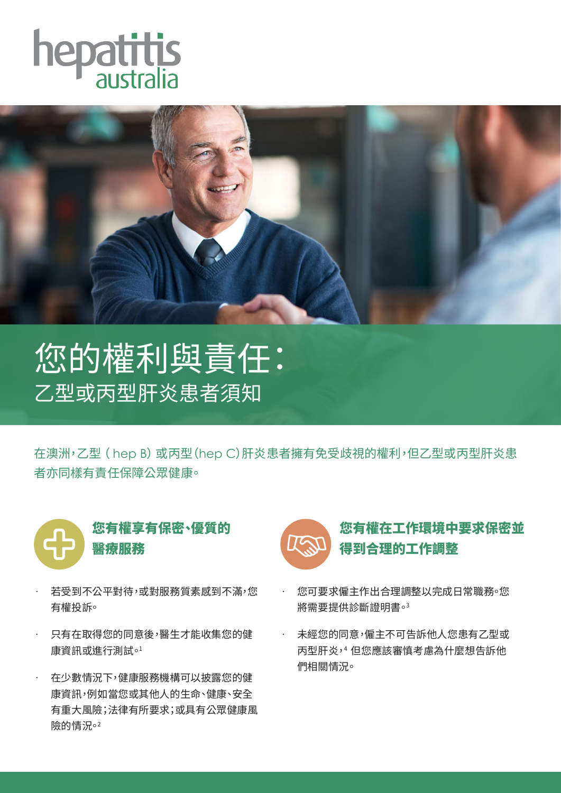



## 您的權利與責任: 乙型或丙型肝炎患者須知

在澳洲,乙型 ( hep B) 或丙型(hep C)肝炎患者擁有免受歧視的權利,但乙型或丙型肝炎患 者亦同樣有責任保障公眾健康。



- · 若受到不公平對待,或對服務質素感到不滿,您 有權投訴。
- · 只有在取得您的同意後,醫生才能收集您的健 康資訊或進行測試。1
- · 在少數情況下,健康服務機構可以披露您的健 康資訊,例如當您或其他人的生命、健康、安全 有重大風險;法律有所要求;或具有公眾健康風 險的情況。2



## 您有權在工作環境中要求保密並 得到合理的工作調整

- · 您可要求僱主作出合理調整以完成日常職務。您 將需要提供診斷證明書。3
- · 未經您的同意,僱主不可告訴他人您患有乙型或 丙型肝炎,4 但您應該審慎考慮為什麼想告訴他 們相關情況。